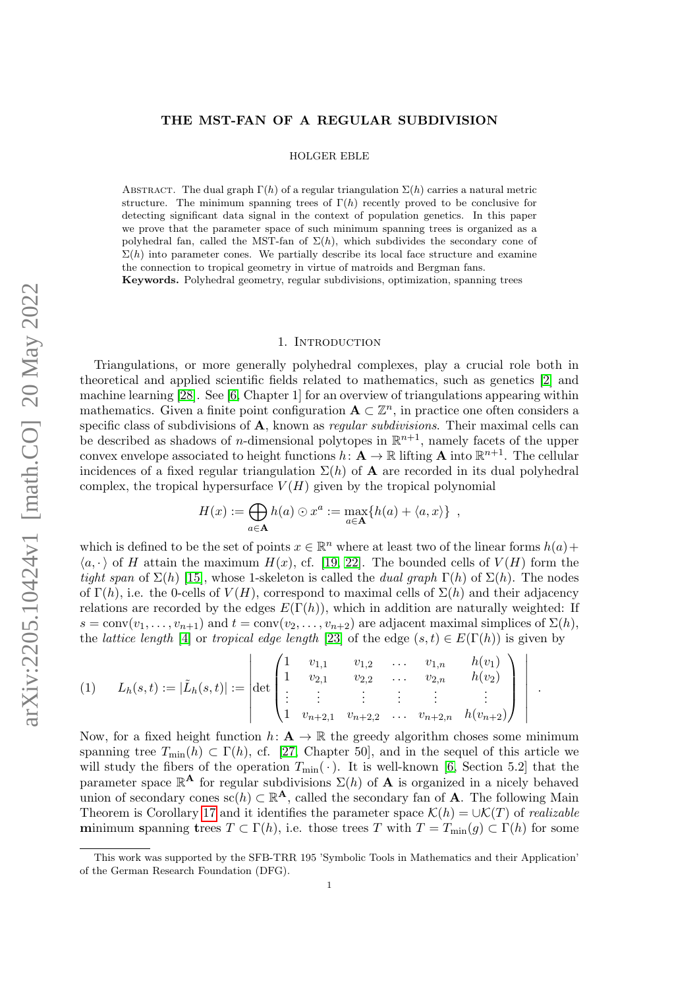# THE MST-FAN OF A REGULAR SUBDIVISION

HOLGER EBLE

ABSTRACT. The dual graph  $\Gamma(h)$  of a regular triangulation  $\Sigma(h)$  carries a natural metric structure. The minimum spanning trees of  $\Gamma(h)$  recently proved to be conclusive for detecting significant data signal in the context of population genetics. In this paper we prove that the parameter space of such minimum spanning trees is organized as a polyhedral fan, called the MST-fan of  $\Sigma(h)$ , which subdivides the secondary cone of  $\Sigma(h)$  into parameter cones. We partially describe its local face structure and examine the connection to tropical geometry in virtue of matroids and Bergman fans.

Keywords. Polyhedral geometry, regular subdivisions, optimization, spanning trees

# 1. INTRODUCTION

<span id="page-0-1"></span>Triangulations, or more generally polyhedral complexes, play a crucial role both in theoretical and applied scientific fields related to mathematics, such as genetics [\[2\]](#page-12-0) and machine learning [\[28\]](#page-13-0). See [\[6,](#page-12-1) Chapter 1] for an overview of triangulations appearing within mathematics. Given a finite point configuration  $\mathbf{A} \subset \mathbb{Z}^n$ , in practice one often considers a specific class of subdivisions of A, known as *regular subdivisions*. Their maximal cells can be described as shadows of *n*-dimensional polytopes in  $\mathbb{R}^{n+1}$ , namely facets of the upper convex envelope associated to height functions  $h: \mathbf{A} \to \mathbb{R}$  lifting  $\mathbf{A}$  into  $\mathbb{R}^{n+1}$ . The cellular incidences of a fixed regular triangulation  $\Sigma(h)$  of **A** are recorded in its dual polyhedral complex, the tropical hypersurface  $V(H)$  given by the tropical polynomial

$$
H(x) := \bigoplus_{a \in \mathbf{A}} h(a) \odot x^a := \max_{a \in \mathbf{A}} \{ h(a) + \langle a, x \rangle \},
$$

which is defined to be the set of points  $x \in \mathbb{R}^n$  where at least two of the linear forms  $h(a)$  +  $\langle a, \cdot \rangle$  of H attain the maximum  $H(x)$ , cf. [\[19,](#page-13-1) [22\]](#page-13-2). The bounded cells of  $V(H)$  form the tight span of  $\Sigma(h)$  [\[15\]](#page-13-3), whose 1-skeleton is called the *dual graph*  $\Gamma(h)$  of  $\Sigma(h)$ . The nodes of  $\Gamma(h)$ , i.e. the 0-cells of  $V(H)$ , correspond to maximal cells of  $\Sigma(h)$  and their adjacency relations are recorded by the edges  $E(\Gamma(h))$ , which in addition are naturally weighted: If  $s = \text{conv}(v_1, \ldots, v_{n+1})$  and  $t = \text{conv}(v_2, \ldots, v_{n+2})$  are adjacent maximal simplices of  $\Sigma(h)$ , the *lattice length* [\[4\]](#page-12-2) or *tropical edge length* [\[23\]](#page-13-4) of the edge  $(s, t) \in E(\Gamma(h))$  is given by

<span id="page-0-0"></span>
$$
(1) \qquad L_h(s,t) := |\tilde{L}_h(s,t)| := \left| \det \begin{pmatrix} 1 & v_{1,1} & v_{1,2} & \dots & v_{1,n} & h(v_1) \\ 1 & v_{2,1} & v_{2,2} & \dots & v_{2,n} & h(v_2) \\ \vdots & \vdots & \vdots & \vdots & \vdots & \vdots \\ 1 & v_{n+2,1} & v_{n+2,2} & \dots & v_{n+2,n} & h(v_{n+2}) \end{pmatrix} \right|.
$$

Now, for a fixed height function  $h: \mathbf{A} \to \mathbb{R}$  the greedy algorithm choses some minimum spanning tree  $T_{\text{min}}(h) \subset \Gamma(h)$ , cf. [\[27,](#page-13-5) Chapter 50], and in the sequel of this article we will study the fibers of the operation  $T_{\text{min}}(\cdot)$ . It is well-known [\[6,](#page-12-1) Section 5.2] that the parameter space  $\mathbb{R}^{\mathbf{A}}$  for regular subdivisions  $\Sigma(h)$  of **A** is organized in a nicely behaved union of secondary cones  $\mathrm{sc}(h) \subset \mathbb{R}^{\mathbf{A}}$ , called the secondary fan of **A**. The following Main Theorem is Corollary [17](#page-7-0) and it identifies the parameter space  $\mathcal{K}(h) = \cup \mathcal{K}(T)$  of realizable minimum spanning trees  $T \subset \Gamma(h)$ , i.e. those trees T with  $T = T_{\min}(g) \subset \Gamma(h)$  for some

This work was supported by the SFB-TRR 195 'Symbolic Tools in Mathematics and their Application' of the German Research Foundation (DFG).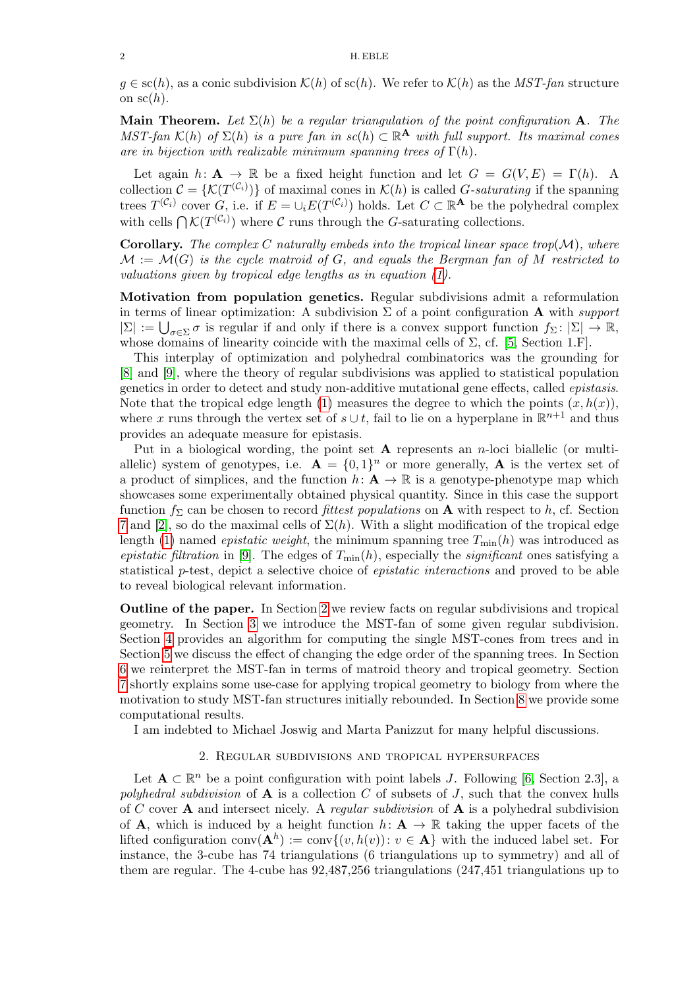### 2 H. EBLE

 $g \in sc(h)$ , as a conic subdivision  $\mathcal{K}(h)$  of  $sc(h)$ . We refer to  $\mathcal{K}(h)$  as the MST-fan structure on  $\operatorname{sc}(h)$ .

**Main Theorem.** Let  $\Sigma(h)$  be a regular triangulation of the point configuration A. The MST-fan  $\mathcal{K}(h)$  of  $\Sigma(h)$  is a pure fan in  $sc(h) \subset \mathbb{R}^{\mathbf{A}}$  with full support. Its maximal cones are in bijection with realizable minimum spanning trees of  $\Gamma(h)$ .

Let again  $h: \mathbf{A} \to \mathbb{R}$  be a fixed height function and let  $G = G(V, E) = \Gamma(h)$ . A collection  $\mathcal{C} = \{ \mathcal{K}(T^{(\mathcal{C}_i)}) \}$  of maximal cones in  $\mathcal{K}(h)$  is called G-saturating if the spanning trees  $T^{(\mathcal{C}_i)}$  cover G, i.e. if  $E = \cup_i E(T^{(\mathcal{C}_i)})$  holds. Let  $C \subset \mathbb{R}^{\mathbf{A}}$  be the polyhedral complex with cells  $\bigcap \mathcal{K}(T^{(\mathcal{C}_i)})$  where C runs through the G-saturating collections.

**Corollary.** The complex C naturally embeds into the tropical linear space trop( $M$ ), where  $\mathcal{M} := \mathcal{M}(G)$  is the cycle matroid of G, and equals the Bergman fan of M restricted to valuations given by tropical edge lengths as in equation [\(1\)](#page-0-0).

Motivation from population genetics. Regular subdivisions admit a reformulation in terms of linear optimization: A subdivision  $\Sigma$  of a point configuration A with support  $|\Sigma| := \bigcup_{\sigma \in \Sigma} \sigma$  is regular if and only if there is a convex support function  $f_{\Sigma} : |\Sigma| \to \mathbb{R}$ , whose domains of linearity coincide with the maximal cells of  $\Sigma$ , cf. [\[5,](#page-12-3) Section 1.F].

This interplay of optimization and polyhedral combinatorics was the grounding for [\[8\]](#page-13-6) and [\[9\]](#page-13-7), where the theory of regular subdivisions was applied to statistical population genetics in order to detect and study non-additive mutational gene effects, called epistasis. Note that the tropical edge length [\(1\)](#page-0-0) measures the degree to which the points  $(x, h(x))$ , where x runs through the vertex set of  $s \cup t$ , fail to lie on a hyperplane in  $\mathbb{R}^{n+1}$  and thus provides an adequate measure for epistasis.

Put in a biological wording, the point set  $A$  represents an *n*-loci biallelic (or multiallelic) system of genotypes, i.e.  $\mathbf{A} = \{0,1\}^n$  or more generally, **A** is the vertex set of a product of simplices, and the function  $h: \mathbf{A} \to \mathbb{R}$  is a genotype-phenotype map which showcases some experimentally obtained physical quantity. Since in this case the support function  $f_{\Sigma}$  can be chosen to record *fittest populations* on **A** with respect to h, cf. Section [7](#page-10-0) and [\[2\]](#page-12-0), so do the maximal cells of  $\Sigma(h)$ . With a slight modification of the tropical edge length [\(1\)](#page-0-0) named *epistatic weight*, the minimum spanning tree  $T_{\text{min}}(h)$  was introduced as epistatic filtration in [\[9\]](#page-13-7). The edges of  $T_{\text{min}}(h)$ , especially the *significant* ones satisfying a statistical p-test, depict a selective choice of epistatic interactions and proved to be able to reveal biological relevant information.

Outline of the paper. In Section [2](#page-1-0) we review facts on regular subdivisions and tropical geometry. In Section [3](#page-3-0) we introduce the MST-fan of some given regular subdivision. Section [4](#page-6-0) provides an algorithm for computing the single MST-cones from trees and in Section [5](#page-9-0) we discuss the effect of changing the edge order of the spanning trees. In Section [6](#page-9-1) we reinterpret the MST-fan in terms of matroid theory and tropical geometry. Section [7](#page-10-0) shortly explains some use-case for applying tropical geometry to biology from where the motivation to study MST-fan structures initially rebounded. In Section [8](#page-11-0) we provide some computational results.

I am indebted to Michael Joswig and Marta Panizzut for many helpful discussions.

#### 2. Regular subdivisions and tropical hypersurfaces

<span id="page-1-0"></span>Let  $\mathbf{A} \subset \mathbb{R}^n$  be a point configuration with point labels J. Following [\[6,](#page-12-1) Section 2.3], a polyhedral subdivision of  $\bf{A}$  is a collection C of subsets of J, such that the convex hulls of C cover **A** and intersect nicely. A regular subdivision of **A** is a polyhedral subdivision of **A**, which is induced by a height function  $h: \mathbf{A} \to \mathbb{R}$  taking the upper facets of the lifted configuration conv $(\mathbf{A}^h) := \text{conv}\{(v, h(v)) : v \in \mathbf{A}\}\$  with the induced label set. For instance, the 3-cube has 74 triangulations (6 triangulations up to symmetry) and all of them are regular. The 4-cube has 92,487,256 triangulations (247,451 triangulations up to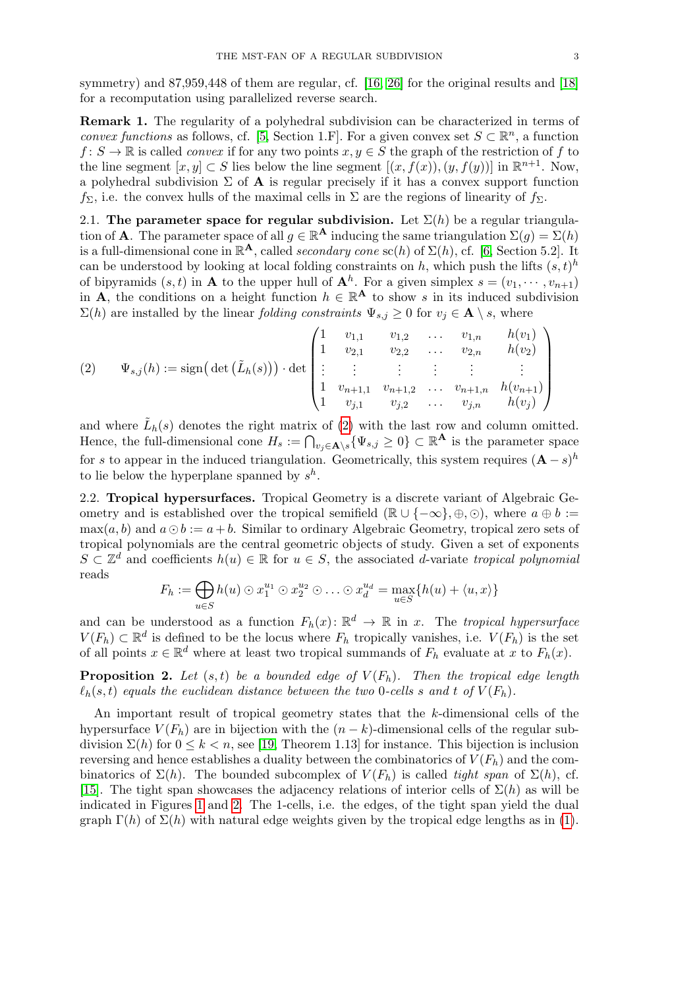symmetry) and 87,959,448 of them are regular, cf. [\[16,](#page-13-8) [26\]](#page-13-9) for the original results and [\[18\]](#page-13-10) for a recomputation using parallelized reverse search.

<span id="page-2-2"></span>Remark 1. The regularity of a polyhedral subdivision can be characterized in terms of convex functions as follows, cf. [\[5,](#page-12-3) Section 1.F]. For a given convex set  $S \subset \mathbb{R}^n$ , a function  $f: S \to \mathbb{R}$  is called *convex* if for any two points  $x, y \in S$  the graph of the restriction of f to the line segment  $[x, y] \subset S$  lies below the line segment  $[(x, f(x)), (y, f(y))]$  in  $\mathbb{R}^{n+1}$ . Now, a polyhedral subdivision  $\Sigma$  of **A** is regular precisely if it has a convex support function  $f_{\Sigma}$ , i.e. the convex hulls of the maximal cells in  $\Sigma$  are the regions of linearity of  $f_{\Sigma}$ .

<span id="page-2-1"></span>2.1. The parameter space for regular subdivision. Let  $\Sigma(h)$  be a regular triangulation of **A**. The parameter space of all  $g \in \mathbb{R}^{\mathbf{A}}$  inducing the same triangulation  $\Sigma(g) = \Sigma(h)$ is a full-dimensional cone in  $\mathbb{R}^{\mathbf{A}}$ , called secondary cone sc(h) of  $\Sigma(h)$ , cf. [\[6,](#page-12-1) Section 5.2]. It can be understood by looking at local folding constraints on h, which push the lifts  $(s,t)^h$ of bipyramids  $(s, t)$  in **A** to the upper hull of  $\mathbf{A}^h$ . For a given simplex  $s = (v_1, \dots, v_{n+1})$ in **A**, the conditions on a height function  $h \in \mathbb{R}^{\mathbf{A}}$  to show s in its induced subdivision  $\Sigma(h)$  are installed by the linear *folding constraints*  $\Psi_{s,j} \geq 0$  for  $v_j \in \mathbf{A} \setminus s$ , where

<span id="page-2-0"></span>
$$
(2) \quad \Psi_{s,j}(h) := \text{sign}\big(\det\big(\tilde{L}_h(s)\big)\big) \cdot \det\begin{pmatrix} 1 & v_{1,1} & v_{1,2} & \dots & v_{1,n} & h(v_1) \\ 1 & v_{2,1} & v_{2,2} & \dots & v_{2,n} & h(v_2) \\ \vdots & \vdots & \vdots & \vdots & \vdots & \vdots \\ 1 & v_{n+1,1} & v_{n+1,2} & \dots & v_{n+1,n} & h(v_{n+1}) \\ 1 & v_{j,1} & v_{j,2} & \dots & v_{j,n} & h(v_j) \end{pmatrix}
$$

and where  $\tilde{L}_h(s)$  denotes the right matrix of [\(2\)](#page-2-0) with the last row and column omitted. Hence, the full-dimensional cone  $H_s := \bigcap_{v_j \in \mathbf{A} \setminus s} \{ \Psi_{s,j} \geq 0 \} \subset \mathbb{R}^{\mathbf{A}}$  is the parameter space for s to appear in the induced triangulation. Geometrically, this system requires  $(A - s)^h$ to lie below the hyperplane spanned by  $s^h$ .

2.2. Tropical hypersurfaces. Tropical Geometry is a discrete variant of Algebraic Geometry and is established over the tropical semifield ( $\mathbb{R} \cup \{-\infty\}, \oplus, \odot$ ), where  $a \oplus b :=$  $\max(a, b)$  and  $a \odot b := a + b$ . Similar to ordinary Algebraic Geometry, tropical zero sets of tropical polynomials are the central geometric objects of study. Given a set of exponents  $S \subset \mathbb{Z}^d$  and coefficients  $h(u) \in \mathbb{R}$  for  $u \in S$ , the associated d-variate tropical polynomial reads

$$
F_h := \bigoplus_{u \in S} h(u) \odot x_1^{u_1} \odot x_2^{u_2} \odot \ldots \odot x_d^{u_d} = \max_{u \in S} \{h(u) + \langle u, x \rangle\}
$$

and can be understood as a function  $F_h(x)$ :  $\mathbb{R}^d \to \mathbb{R}$  in x. The tropical hypersurface  $V(F_h) \subset \mathbb{R}^d$  is defined to be the locus where  $F_h$  tropically vanishes, i.e.  $V(F_h)$  is the set of all points  $x \in \mathbb{R}^d$  where at least two tropical summands of  $F_h$  evaluate at x to  $F_h(x)$ .

**Proposition 2.** Let  $(s, t)$  be a bounded edge of  $V(F_h)$ . Then the tropical edge length  $\ell_h(s, t)$  equals the euclidean distance between the two 0-cells s and t of  $V(F_h)$ .

An important result of tropical geometry states that the k-dimensional cells of the hypersurface  $V(F_h)$  are in bijection with the  $(n - k)$ -dimensional cells of the regular subdivision  $\Sigma(h)$  for  $0 \le k < n$ , see [\[19,](#page-13-1) Theorem 1.13] for instance. This bijection is inclusion reversing and hence establishes a duality between the combinatorics of  $V(F_h)$  and the combinatorics of  $\Sigma(h)$ . The bounded subcomplex of  $V(F_h)$  is called tight span of  $\Sigma(h)$ , cf. [\[15\]](#page-13-3). The tight span showcases the adjacency relations of interior cells of  $\Sigma(h)$  as will be indicated in Figures [1](#page-3-1) and [2.](#page-4-0) The 1-cells, i.e. the edges, of the tight span yield the dual graph  $\Gamma(h)$  of  $\Sigma(h)$  with natural edge weights given by the tropical edge lengths as in [\(1\)](#page-0-0).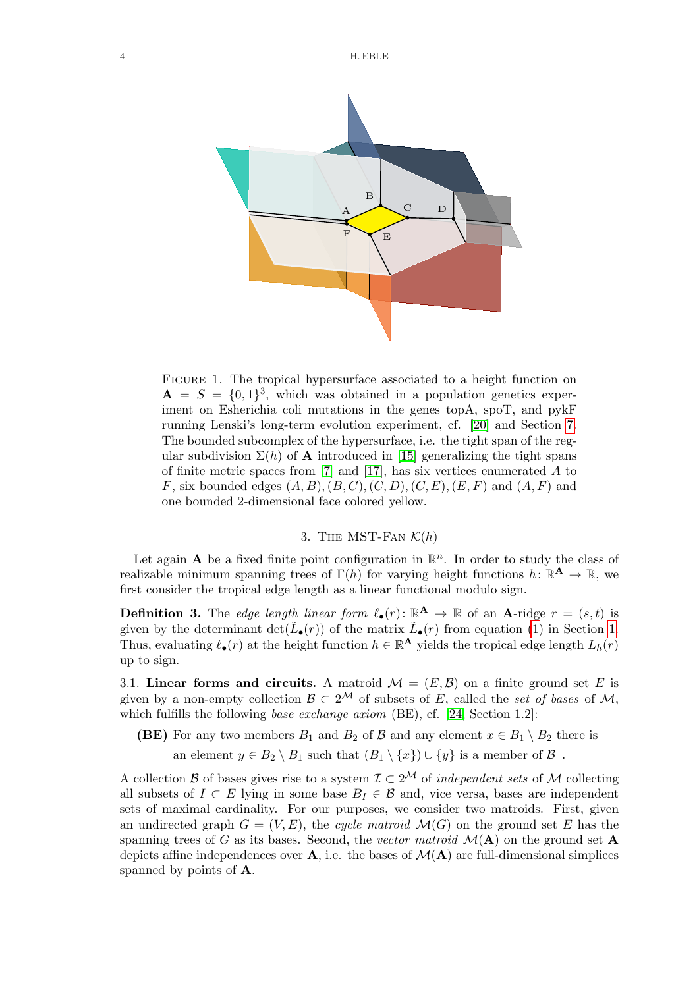<span id="page-3-1"></span>

FIGURE 1. The tropical hypersurface associated to a height function on  $\mathbf{A} = S = \{0,1\}^3$ , which was obtained in a population genetics experiment on Esherichia coli mutations in the genes topA, spoT, and pykF running Lenski's long-term evolution experiment, cf. [\[20\]](#page-13-11) and Section [7.](#page-10-0) The bounded subcomplex of the hypersurface, i.e. the tight span of the regular subdivision  $\Sigma(h)$  of **A** introduced in [\[15\]](#page-13-3) generalizing the tight spans of finite metric spaces from [\[7\]](#page-12-4) and [\[17\]](#page-13-12), has six vertices enumerated A to F, six bounded edges  $(A, B), (B, C), (C, D), (C, E), (E, F)$  and  $(A, F)$  and one bounded 2-dimensional face colored yellow.

# 3. THE MST-FAN  $\mathcal{K}(h)$

<span id="page-3-0"></span>Let again **A** be a fixed finite point configuration in  $\mathbb{R}^n$ . In order to study the class of realizable minimum spanning trees of  $\Gamma(h)$  for varying height functions  $h: \mathbb{R}^{\mathbf{A}} \to \mathbb{R}$ , we first consider the tropical edge length as a linear functional modulo sign.

<span id="page-3-2"></span>**Definition 3.** The edge length linear form  $\ell_{\bullet}(r)$ :  $\mathbb{R}^{A} \to \mathbb{R}$  of an A-ridge  $r = (s, t)$  is given by the determinant  $\det(\tilde{L}_{\bullet}(r))$  of the matrix  $\tilde{L}_{\bullet}(r)$  from equation [\(1\)](#page-0-0) in Section [1.](#page-0-1) Thus, evaluating  $\ell_{\bullet}(r)$  at the height function  $h \in \mathbb{R}^{\mathbf{A}}$  yields the tropical edge length  $L_h(r)$ up to sign.

<span id="page-3-3"></span>3.1. Linear forms and circuits. A matroid  $\mathcal{M} = (E, \mathcal{B})$  on a finite ground set E is given by a non-empty collection  $\mathcal{B} \subset 2^{\mathcal{M}}$  of subsets of E, called the set of bases of M, which fulfills the following base exchange axiom  $(BE)$ , cf. [\[24,](#page-13-13) Section 1.2]:

**(BE)** For any two members  $B_1$  and  $B_2$  of  $\beta$  and any element  $x \in B_1 \setminus B_2$  there is an element  $y \in B_2 \setminus B_1$  such that  $(B_1 \setminus \{x\}) \cup \{y\}$  is a member of  $\mathcal B$ .

A collection B of bases gives rise to a system  $\mathcal{I} \subset 2^{\mathcal{M}}$  of *independent sets* of M collecting all subsets of  $I \subset E$  lying in some base  $B_I \in \mathcal{B}$  and, vice versa, bases are independent sets of maximal cardinality. For our purposes, we consider two matroids. First, given an undirected graph  $G = (V, E)$ , the cycle matroid  $\mathcal{M}(G)$  on the ground set E has the spanning trees of G as its bases. Second, the vector matroid  $\mathcal{M}(\mathbf{A})$  on the ground set  $\mathbf{A}$ depicts affine independences over  $\bf{A}$ , i.e. the bases of  $\mathcal{M}(\bf{A})$  are full-dimensional simplices spanned by points of A.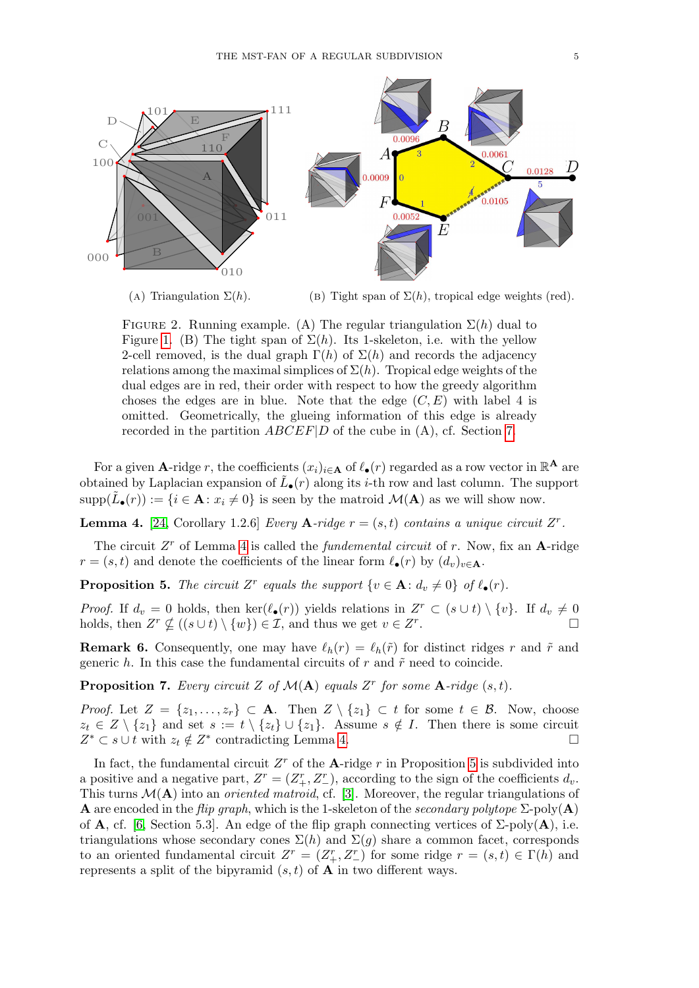<span id="page-4-0"></span>

(A) Triangulation  $\Sigma(h)$ . (b) Tight span of  $\Sigma(h)$ , tropical edge weights (red).

FIGURE 2. Running example. (A) The regular triangulation  $\Sigma(h)$  dual to Figure [1.](#page-3-1) (B) The tight span of  $\Sigma(h)$ . Its 1-skeleton, i.e. with the yellow 2-cell removed, is the dual graph  $\Gamma(h)$  of  $\Sigma(h)$  and records the adjacency relations among the maximal simplices of  $\Sigma(h)$ . Tropical edge weights of the dual edges are in red, their order with respect to how the greedy algorithm choses the edges are in blue. Note that the edge  $(C, E)$  with label 4 is omitted. Geometrically, the glueing information of this edge is already recorded in the partition ABCEF|D of the cube in (A), cf. Section [7.](#page-10-0)

For a given **A**-ridge r, the coefficients  $(x_i)_{i \in \mathbf{A}}$  of  $\ell_{\bullet}(r)$  regarded as a row vector in  $\mathbb{R}^{\mathbf{A}}$  are obtained by Laplacian expansion of  $\tilde{L}_{\bullet}(r)$  along its *i*-th row and last column. The support  $\text{supp}(\tilde{L}_{\bullet}(r)) := \{i \in \mathbf{A} : x_i \neq 0\}$  is seen by the matroid  $\mathcal{M}(\mathbf{A})$  as we will show now.

<span id="page-4-1"></span>**Lemma 4.** [\[24,](#page-13-13) Corollary 1.2.6] *Every* **A**-ridge  $r = (s, t)$  contains a unique circuit  $Z^r$ .

The circuit  $Z<sup>r</sup>$  of Lemma [4](#page-4-1) is called the *fundemental circuit* of r. Now, fix an **A**-ridge  $r = (s, t)$  and denote the coefficients of the linear form  $\ell_{\bullet}(r)$  by  $(d_v)_{v \in \mathbf{A}}$ .

<span id="page-4-2"></span>**Proposition 5.** The circuit Z<sup>r</sup> equals the support  $\{v \in \mathbf{A}: d_v \neq 0\}$  of  $\ell_{\bullet}(r)$ .

*Proof.* If  $d_v = 0$  holds, then ker $(\ell_{\bullet}(r))$  yields relations in  $Z^r \subset (s \cup t) \setminus \{v\}$ . If  $d_v \neq 0$ holds, then  $Z^r \nsubseteq ((s \cup t) \setminus \{w\}) \in \mathcal{I}$ , and thus we get  $v \in Z^r$ .

<span id="page-4-3"></span>**Remark 6.** Consequently, one may have  $\ell_h(r) = \ell_h(\tilde{r})$  for distinct ridges r and  $\tilde{r}$  and generic h. In this case the fundamental circuits of r and  $\tilde{r}$  need to coincide.

**Proposition 7.** Every circuit Z of  $\mathcal{M}(\mathbf{A})$  equals Z<sup>r</sup> for some  $\mathbf{A}\text{-}ridge(s,t)$ .

*Proof.* Let  $Z = \{z_1, \ldots, z_r\} \subset \mathbf{A}$ . Then  $Z \setminus \{z_1\} \subset t$  for some  $t \in \mathcal{B}$ . Now, choose  $z_t \in Z \setminus \{z_1\}$  and set  $s := t \setminus \{z_t\} \cup \{z_1\}$ . Assume  $s \notin I$ . Then there is some circuit  $Z^* \subset s \cup t$  with  $z_t \notin Z^*$  contradicting Lemma [4.](#page-4-1)

In fact, the fundamental circuit  $Z<sup>r</sup>$  of the A-ridge r in Proposition [5](#page-4-2) is subdivided into a positive and a negative part,  $Z^r = (Z^r_+, Z^r_-)$ , according to the sign of the coefficients  $d_v$ . This turns  $\mathcal{M}(\mathbf{A})$  into an *oriented matroid*, cf. [\[3\]](#page-12-5). Moreover, the regular triangulations of **A** are encoded in the *flip graph*, which is the 1-skeleton of the *secondary polytope*  $\Sigma$ -poly(**A**) of A, cf. [\[6,](#page-12-1) Section 5.3]. An edge of the flip graph connecting vertices of  $\Sigma$ -poly $(A)$ , i.e. triangulations whose secondary cones  $\Sigma(h)$  and  $\Sigma(g)$  share a common facet, corresponds to an oriented fundamental circuit  $Z^r = (Z^r_+, Z^r_-)$  for some ridge  $r = (s, t) \in \Gamma(h)$  and represents a split of the bipyramid  $(s, t)$  of **A** in two different ways.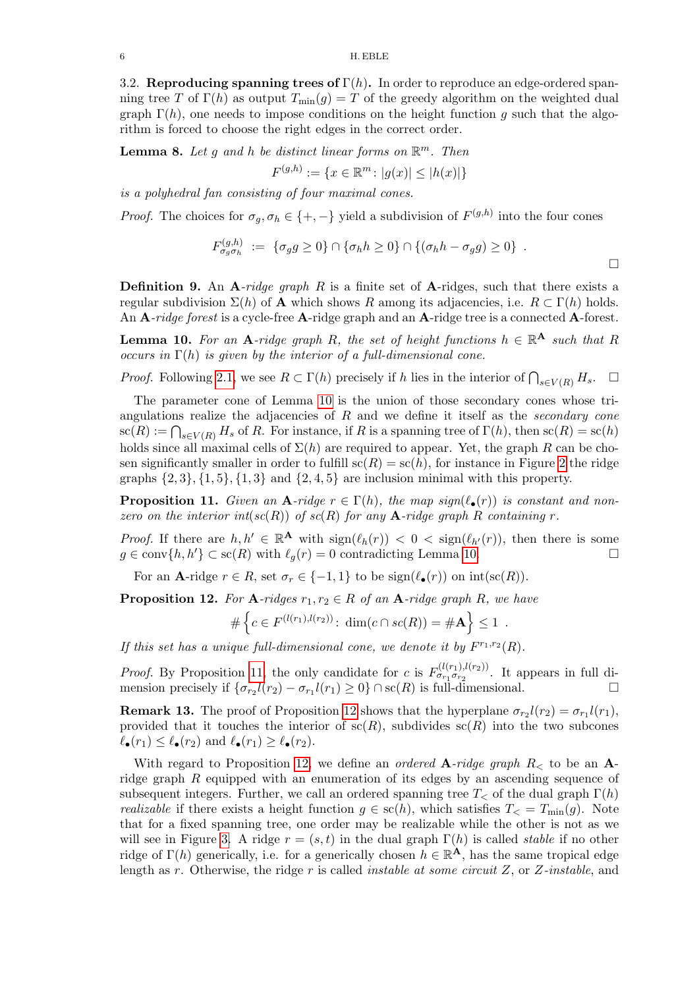3.2. Reproducing spanning trees of  $\Gamma(h)$ . In order to reproduce an edge-ordered spanning tree T of  $\Gamma(h)$  as output  $T_{\text{min}}(g) = T$  of the greedy algorithm on the weighted dual graph  $\Gamma(h)$ , one needs to impose conditions on the height function g such that the algorithm is forced to choose the right edges in the correct order.

<span id="page-5-3"></span>**Lemma 8.** Let g and h be distinct linear forms on  $\mathbb{R}^m$ . Then

$$
F^{(g,h)} := \{ x \in \mathbb{R}^m \colon |g(x)| \le |h(x)| \}
$$

is a polyhedral fan consisting of four maximal cones.

*Proof.* The choices for  $\sigma_g, \sigma_h \in \{+, -\}$  yield a subdivision of  $F^{(g,h)}$  into the four cones

$$
F_{\sigma_g\sigma_h}^{(g,h)} := \{\sigma_g g \ge 0\} \cap \{\sigma_h h \ge 0\} \cap \{(\sigma_h h - \sigma_g g) \ge 0\} .
$$

**Definition 9.** An  $\bf{A}$ -ridge graph R is a finite set of  $\bf{A}$ -ridges, such that there exists a regular subdivision  $\Sigma(h)$  of **A** which shows R among its adjacencies, i.e.  $R \subset \Gamma(h)$  holds. An A-ridge forest is a cycle-free A-ridge graph and an A-ridge tree is a connected A-forest.

<span id="page-5-0"></span>**Lemma 10.** For an A-ridge graph R, the set of height functions  $h \in \mathbb{R}^{\mathbf{A}}$  such that R occurs in  $\Gamma(h)$  is given by the interior of a full-dimensional cone.

*Proof.* Following [2.1,](#page-2-1) we see  $R \subset \Gamma(h)$  precisely if h lies in the interior of  $\bigcap_{s \in V(R)} H_s$ .  $\Box$ 

The parameter cone of Lemma [10](#page-5-0) is the union of those secondary cones whose triangulations realize the adjacencies of  $R$  and we define it itself as the secondary cone  $\operatorname{sc}(R) := \bigcap_{s \in V(R)} H_s$  of R. For instance, if R is a spanning tree of  $\Gamma(h)$ , then  $\operatorname{sc}(R) = \operatorname{sc}(h)$ holds since all maximal cells of  $\Sigma(h)$  are required to appear. Yet, the graph R can be chosen significantly smaller in order to fulfill  $\operatorname{sc}(R) = \operatorname{sc}(h)$ , for instance in Figure [2](#page-4-0) the ridge graphs  $\{2, 3\}, \{1, 5\}, \{1, 3\}$  and  $\{2, 4, 5\}$  are inclusion minimal with this property.

<span id="page-5-1"></span>**Proposition 11.** Given an A-ridge  $r \in \Gamma(h)$ , the map sign( $\ell_{\bullet}(r)$ ) is constant and nonzero on the interior int(sc(R)) of sc(R) for any **A**-ridge graph R containing r.

*Proof.* If there are  $h, h' \in \mathbb{R}^{\mathbf{A}}$  with  $sign(\ell_h(r)) < 0 < sign(\ell_{h'}(r))$ , then there is some  $g \in \text{conv}\{h, h'\} \subset \text{sc}(R)$  with  $\ell_q(r) = 0$  contradicting Lemma [10.](#page-5-0)

For an **A**-ridge  $r \in R$ , set  $\sigma_r \in \{-1,1\}$  to be  $sign(\ell_{\bullet}(r))$  on  $int(sc(R))$ .

<span id="page-5-2"></span>**Proposition 12.** For A-ridges  $r_1, r_2 \in R$  of an A-ridge graph R, we have

$$
\#\left\{c \in F^{(l(r_1),l(r_2))}: \dim(c \cap sc(R)) = \#\mathbf{A}\right\} \leq 1.
$$

If this set has a unique full-dimensional cone, we denote it by  $F^{r_1,r_2}(R)$ .

*Proof.* By Proposition [11,](#page-5-1) the only candidate for c is  $F_{\sigma_{r_1}\sigma_{r_2}}^{(l(r_1),l(r_2))}$ . It appears in full dimension precisely if  $\{\sigma_{r_2}l(r_2) - \sigma_{r_1}l(r_1) \ge 0\} \cap sc(R)$  is full-dimensional.

<span id="page-5-4"></span>**Remark 13.** The proof of Proposition [12](#page-5-2) shows that the hyperplane  $\sigma_{r_2}l(r_2) = \sigma_{r_1}l(r_1)$ , provided that it touches the interior of  $\operatorname{sc}(R)$ , subdivides  $\operatorname{sc}(R)$  into the two subcones  $\ell_{\bullet}(r_1) \leq \ell_{\bullet}(r_2)$  and  $\ell_{\bullet}(r_1) \geq \ell_{\bullet}(r_2)$ .

With regard to Proposition [12,](#page-5-2) we define an *ordered*  $\mathbf{A}\text{-}ridge$  graph  $R$ <sub><</sub> to be an  $\mathbf{A}\text{-}$ ridge graph  $R$  equipped with an enumeration of its edges by an ascending sequence of subsequent integers. Further, we call an ordered spanning tree  $T<sub>5</sub>$  of the dual graph  $\Gamma(h)$ *realizable* if there exists a height function  $g \in sc(h)$ , which satisfies  $T_{\leq} = T_{\min}(g)$ . Note that for a fixed spanning tree, one order may be realizable while the other is not as we will see in Figure [3.](#page-8-0) A ridge  $r = (s, t)$  in the dual graph  $\Gamma(h)$  is called *stable* if no other ridge of  $\Gamma(h)$  generically, i.e. for a generically chosen  $h \in \mathbb{R}^{\mathbf{A}}$ , has the same tropical edge length as r. Otherwise, the ridge r is called *instable at some circuit Z*, or  $Z$ -*instable*, and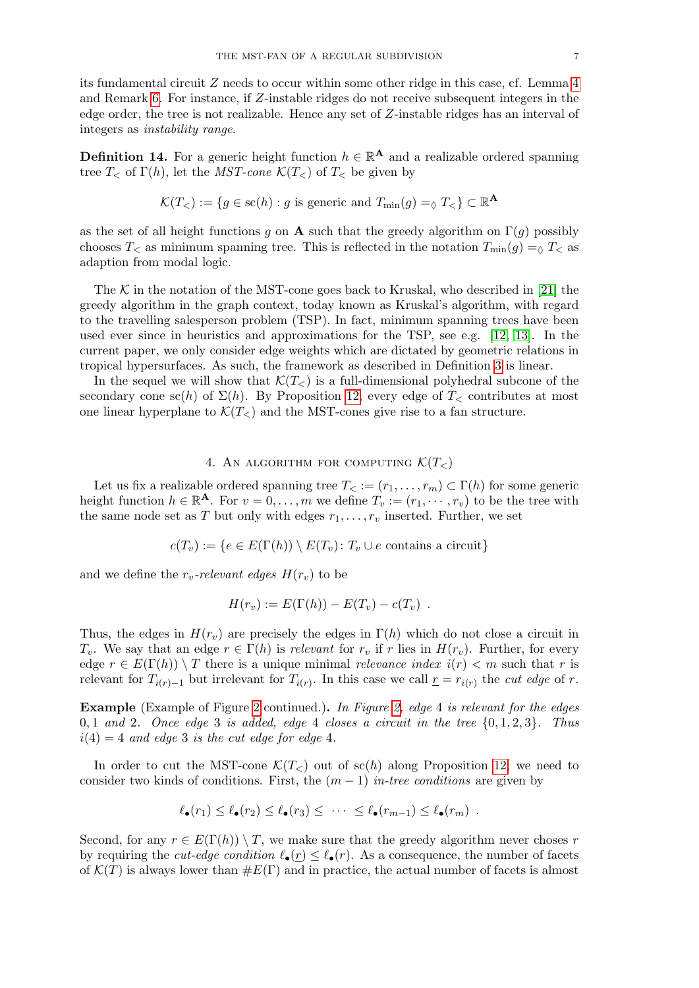its fundamental circuit Z needs to occur within some other ridge in this case, cf. Lemma [4](#page-4-1) and Remark [6.](#page-4-3) For instance, if Z-instable ridges do not receive subsequent integers in the edge order, the tree is not realizable. Hence any set of Z-instable ridges has an interval of integers as instability range.

**Definition 14.** For a generic height function  $h \in \mathbb{R}^{\mathbf{A}}$  and a realizable ordered spanning tree  $T_{\leq}$  of  $\Gamma(h)$ , let the *MST-cone*  $\mathcal{K}(T_{\leq})$  of  $T_{\leq}$  be given by

$$
\mathcal{K}(T_{<}):=\{g\in\mathrm{sc}(h):g\text{ is generic and }T_{\min}(g)=_{\Diamond}T_{<} \}\subset\mathbb{R}^{\mathbf{A}}
$$

as the set of all height functions g on **A** such that the greedy algorithm on  $\Gamma(g)$  possibly chooses  $T<sub>0</sub>$  as minimum spanning tree. This is reflected in the notation  $T_{\text{min}}(g) = \delta T<sub>0</sub>$  as adaption from modal logic.

The K in the notation of the MST-cone goes back to Kruskal, who described in [\[21\]](#page-13-14) the greedy algorithm in the graph context, today known as Kruskal's algorithm, with regard to the travelling salesperson problem (TSP). In fact, minimum spanning trees have been used ever since in heuristics and approximations for the TSP, see e.g. [\[12,](#page-13-15) [13\]](#page-13-16). In the current paper, we only consider edge weights which are dictated by geometric relations in tropical hypersurfaces. As such, the framework as described in Definition [3](#page-3-2) is linear.

In the sequel we will show that  $\mathcal{K}(T_{\leq})$  is a full-dimensional polyhedral subcone of the secondary cone sc(h) of  $\Sigma(h)$ . By Proposition [12,](#page-5-2) every edge of  $T_{\leq}$  contributes at most one linear hyperplane to  $\mathcal{K}(T_{<})$  and the MST-cones give rise to a fan structure.

# 4. AN ALGORITHM FOR COMPUTING  $\mathcal{K}(T_{<})$

<span id="page-6-0"></span>Let us fix a realizable ordered spanning tree  $T_<(r_1,\ldots,r_m)\subset \Gamma(h)$  for some generic height function  $h \in \mathbb{R}^{\mathbf{A}}$ . For  $v = 0, \ldots, m$  we define  $T_v := (r_1, \cdots, r_v)$  to be the tree with the same node set as T but only with edges  $r_1, \ldots, r_v$  inserted. Further, we set

$$
c(T_v) := \{ e \in E(\Gamma(h)) \setminus E(T_v) \colon T_v \cup e \text{ contains a circuit} \}
$$

and we define the  $r_v$ -relevant edges  $H(r_v)$  to be

$$
H(r_v) := E(\Gamma(h)) - E(T_v) - c(T_v) .
$$

Thus, the edges in  $H(r_v)$  are precisely the edges in  $\Gamma(h)$  which do not close a circuit in  $T_v$ . We say that an edge  $r \in \Gamma(h)$  is relevant for  $r_v$  if r lies in  $H(r_v)$ . Further, for every edge  $r \in E(\Gamma(h)) \setminus T$  there is a unique minimal *relevance index*  $i(r) < m$  such that r is relevant for  $T_{i(r)-1}$  but irrelevant for  $T_{i(r)}$ . In this case we call  $\underline{r} = r_{i(r)}$  the cut edge of r.

Example (Example of Figure [2](#page-4-0) continued.). In Figure [2,](#page-4-0) edge 4 is relevant for the edges 0, 1 and 2. Once edge 3 is added, edge 4 closes a circuit in the tree  $\{0, 1, 2, 3\}$ . Thus  $i(4) = 4$  and edge 3 is the cut edge for edge 4.

In order to cut the MST-cone  $\mathcal{K}(T_{\leq})$  out of sc(h) along Proposition [12,](#page-5-2) we need to consider two kinds of conditions. First, the  $(m-1)$  in-tree conditions are given by

$$
\ell_{\bullet}(r_1) \leq \ell_{\bullet}(r_2) \leq \ell_{\bullet}(r_3) \leq \cdots \leq \ell_{\bullet}(r_{m-1}) \leq \ell_{\bullet}(r_m) .
$$

Second, for any  $r \in E(\Gamma(h)) \setminus T$ , we make sure that the greedy algorithm never choses r by requiring the *cut-edge condition*  $\ell_{\bullet}(r) \leq \ell_{\bullet}(r)$ . As a consequence, the number of facets of  $\mathcal{K}(T)$  is always lower than  $\#E(\Gamma)$  and in practice, the actual number of facets is almost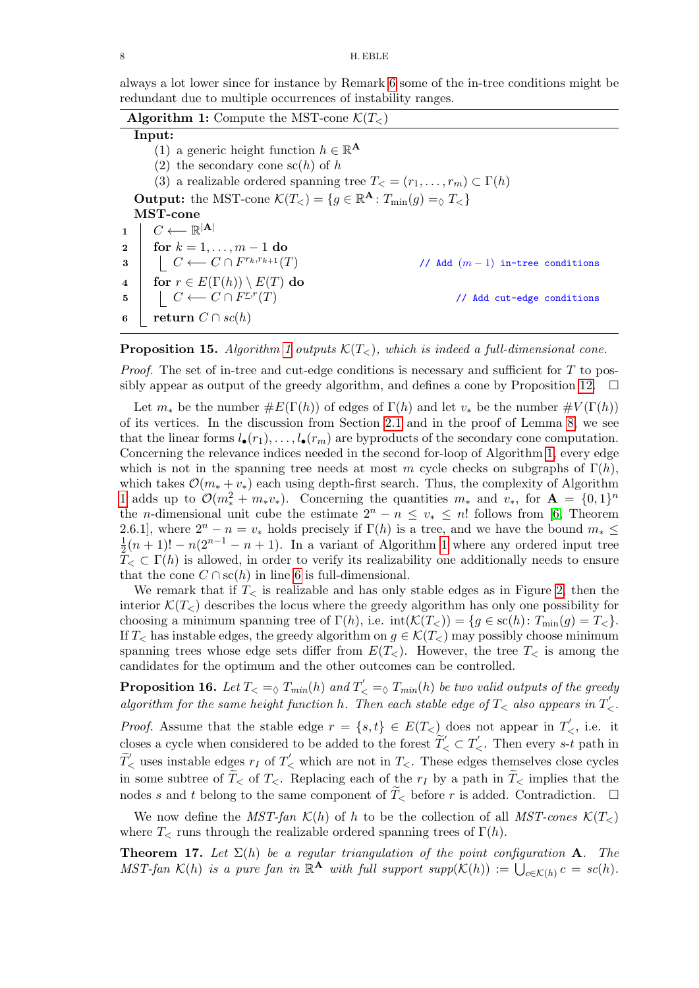always a lot lower since for instance by Remark [6](#page-4-3) some of the in-tree conditions might be redundant due to multiple occurrences of instability ranges.

| <b>Algorithm 1:</b> Compute the MST-cone $\mathcal{K}(T_<)$                                                |                                   |  |  |
|------------------------------------------------------------------------------------------------------------|-----------------------------------|--|--|
| Input:                                                                                                     |                                   |  |  |
| (1) a generic height function $h \in \mathbb{R}^{\mathbf{A}}$                                              |                                   |  |  |
| (2) the secondary cone $\operatorname{sc}(h)$ of h                                                         |                                   |  |  |
| (3) a realizable ordered spanning tree $T_<= (r_1,\ldots,r_m) \subset \Gamma(h)$                           |                                   |  |  |
| <b>Output:</b> the MST-cone $\mathcal{K}(T_<) = \{g \in \mathbb{R}^{\mathbf{A}} : T_{\min}(g) = \infty \}$ |                                   |  |  |
| MST-cone                                                                                                   |                                   |  |  |
| $C \longleftarrow \mathbb{R}^{ \mathbf{A} }$<br>1                                                          |                                   |  |  |
| 2   for $k = 1, , m - 1$ do                                                                                |                                   |  |  |
| $\mid C \longleftarrow C \cap F^{r_k,r_{k+1}}(T)$<br>$\bf{3}$                                              | // Add $(m-1)$ in-tree conditions |  |  |
| for $r \in E(\Gamma(h)) \setminus E(T)$ do<br>$\overline{\mathbf{4}}$                                      |                                   |  |  |
| $\mid C \longleftarrow C \cap F^{\underline{r},r}(T)$<br>5 <sup>5</sup>                                    | // Add cut-edge conditions        |  |  |
| return $C \cap sc(h)$<br>6                                                                                 |                                   |  |  |

<span id="page-7-2"></span><span id="page-7-1"></span>**Proposition [1](#page-7-1)5.** Algorithm 1 outputs  $\mathcal{K}(T_{<})$ , which is indeed a full-dimensional cone.

*Proof.* The set of in-tree and cut-edge conditions is necessary and sufficient for  $T$  to pos-sibly appear as output of the greedy algorithm, and defines a cone by Proposition [12.](#page-5-2)  $\Box$ 

Let  $m_*$  be the number  $\#E(\Gamma(h))$  of edges of  $\Gamma(h)$  and let  $v_*$  be the number  $\#V(\Gamma(h))$ of its vertices. In the discussion from Section [2.1](#page-2-1) and in the proof of Lemma [8,](#page-5-3) we see that the linear forms  $l_{\bullet}(r_1), \ldots, l_{\bullet}(r_m)$  are byproducts of the secondary cone computation. Concerning the relevance indices needed in the second for-loop of Algorithm [1,](#page-7-1) every edge which is not in the spanning tree needs at most m cycle checks on subgraphs of  $\Gamma(h)$ , which takes  $\mathcal{O}(m_* + v_*)$  each using depth-first search. Thus, the complexity of Algorithm [1](#page-7-1) adds up to  $\mathcal{O}(m_*^2 + m_* v_*)$ . Concerning the quantities  $m_*$  and  $v_*$ , for  $\mathbf{A} = \{0,1\}^n$ the *n*-dimensional unit cube the estimate  $2^{n} - n \leq v_* \leq n!$  follows from [\[6,](#page-12-1) Theorem 2.6.1], where  $2^{n} - n = v_{*}$  holds precisely if  $\Gamma(h)$  is a tree, and we have the bound  $m_{*} \leq$ 1  $\frac{1}{2}(n+1)! - n(2^{n-1} - n + 1)$  $\frac{1}{2}(n+1)! - n(2^{n-1} - n + 1)$  $\frac{1}{2}(n+1)! - n(2^{n-1} - n + 1)$ . In a variant of Algorithm 1 where any ordered input tree  $T_{\leq} \subset \Gamma(h)$  is allowed, in order to verify its realizability one additionally needs to ensure that the cone  $C \cap \mathrm{sc}(h)$  in line [6](#page-7-2) is full-dimensional.

We remark that if  $T_{\leq}$  is realizable and has only stable edges as in Figure [2,](#page-4-0) then the interior  $\mathcal{K}(T_{\leq})$  describes the locus where the greedy algorithm has only one possibility for choosing a minimum spanning tree of  $\Gamma(h)$ , i.e.  $\text{int}(\mathcal{K}(T_<)) = \{g \in \text{sc}(h): T_{\text{min}}(g) = T_< \}.$ If  $T_{\leq}$  has instable edges, the greedy algorithm on  $g \in \mathcal{K}(T_{\leq})$  may possibly choose minimum spanning trees whose edge sets differ from  $E(T_<)$ . However, the tree  $T_<$  is among the candidates for the optimum and the other outcomes can be controlled.

**Proposition 16.** Let  $T_{\leq} = \sqrt{\frac{T_{min}(h)}{T_{\leq}}}$  and  $T_{\leq}' = \sqrt{\frac{T_{min}(h)}{T_{\leq}}}$  be two valid outputs of the greedy algorithm for the same height function h. Then each stable edge of  $T_{\leq}$  also appears in  $T_{\leq}$ .

*Proof.* Assume that the stable edge  $r = \{s, t\} \in E(T_{\le})$  does not appear in  $T'_{\le}$ , i.e. it closes a cycle when considered to be added to the forest  $\widetilde{T}_{\leq} \subset T_{\leq}$ . Then every s-t path in  $\widetilde{T}'_{\leq}$  uses instable edges  $r_I$  of  $T'_{\leq}$  which are not in  $T_{\leq}$ . These edges themselves close cycles in some subtree of  $T<sub>5</sub>$  of  $T<sub>6</sub>$ . Replacing each of the  $r<sub>I</sub>$  by a path in  $T<sub>6</sub>$  implies that the nodes s and t belong to the same component of  $\widetilde{T}_{\leq}$  before r is added. Contradiction.  $\Box$ 

We now define the MST-fan  $\mathcal{K}(h)$  of h to be the collection of all MST-cones  $\mathcal{K}(T<sub>></sub>)$ where  $T_{\leq}$  runs through the realizable ordered spanning trees of  $\Gamma(h)$ .

<span id="page-7-0"></span>**Theorem 17.** Let  $\Sigma(h)$  be a regular triangulation of the point configuration A. The MST-fan  $\mathcal{K}(h)$  is a pure fan in  $\mathbb{R}^{\mathbf{A}}$  with full support supp $(\mathcal{K}(h)) := \bigcup_{c \in \mathcal{K}(h)} c = sc(h)$ .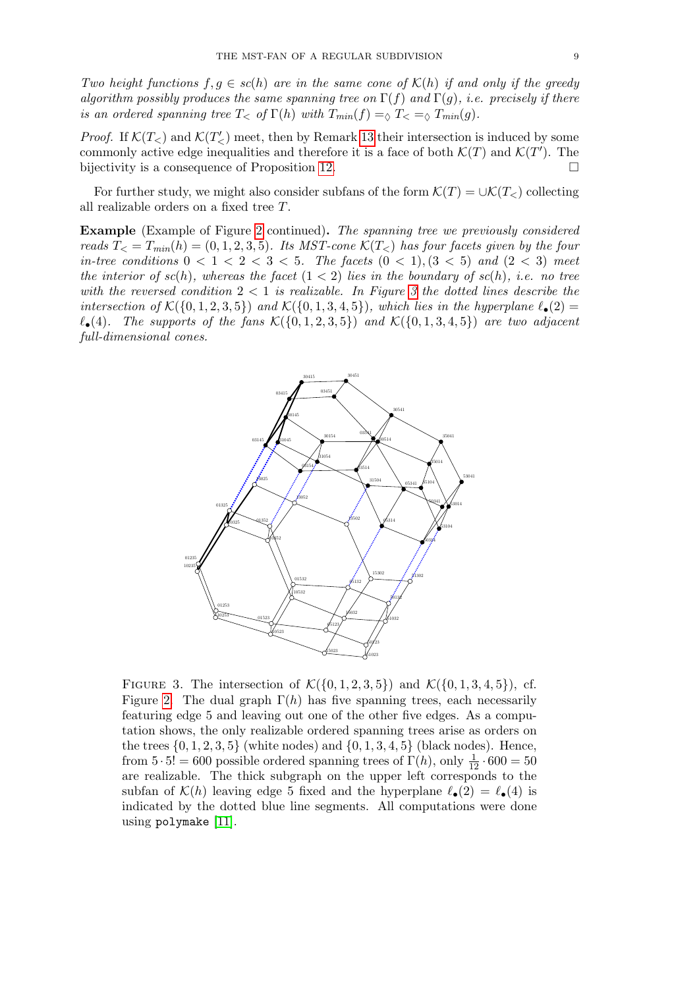Two height functions  $f, g \in sc(h)$  are in the same cone of  $\mathcal{K}(h)$  if and only if the greedy algorithm possibly produces the same spanning tree on  $\Gamma(f)$  and  $\Gamma(g)$ , i.e. precisely if there is an ordered spanning tree  $T<\infty$  of  $\Gamma(h)$  with  $T_{min}(f) = \infty$   $T<\infty$   $T_{min}(g)$ .

*Proof.* If  $\mathcal{K}(T_{<} )$  and  $\mathcal{K}(T_{<} )$  meet, then by Remark [13](#page-5-4) their intersection is induced by some commonly active edge inequalities and therefore it is a face of both  $\mathcal{K}(T)$  and  $\mathcal{K}(T')$ . The bijectivity is a consequence of Proposition [12.](#page-5-2)

For further study, we might also consider subfans of the form  $\mathcal{K}(T) = \cup \mathcal{K}(T_<)$  collecting all realizable orders on a fixed tree T.

Example (Example of Figure [2](#page-4-0) continued). The spanning tree we previously considered reads  $T_{\leq} = T_{min}(h) = (0, 1, 2, 3, 5)$ . Its MST-cone  $\mathcal{K}(T_{\leq})$  has four facets given by the four in-tree conditions  $0 < 1 < 2 < 3 < 5$ . The facets  $(0 < 1), (3 < 5)$  and  $(2 < 3)$  meet the interior of  $sc(h)$ , whereas the facet  $(1 < 2)$  lies in the boundary of  $sc(h)$ , i.e. no tree with the reversed condition  $2 < 1$  is realizable. In Figure [3](#page-8-0) the dotted lines describe the intersection of  $\mathcal{K}(\{0, 1, 2, 3, 5\})$  and  $\mathcal{K}(\{0, 1, 3, 4, 5\})$ , which lies in the hyperplane  $\ell_{\bullet}(2)$  =  $\ell_{\bullet}(4)$ . The supports of the fans  $\mathcal{K}(\{0, 1, 2, 3, 5\})$  and  $\mathcal{K}(\{0, 1, 3, 4, 5\})$  are two adjacent full-dimensional cones.

<span id="page-8-0"></span>

FIGURE 3. The intersection of  $\mathcal{K}(\{0, 1, 2, 3, 5\})$  and  $\mathcal{K}(\{0, 1, 3, 4, 5\})$ , cf. Figure [2.](#page-4-0) The dual graph  $\Gamma(h)$  has five spanning trees, each necessarily featuring edge 5 and leaving out one of the other five edges. As a computation shows, the only realizable ordered spanning trees arise as orders on the trees  $\{0, 1, 2, 3, 5\}$  (white nodes) and  $\{0, 1, 3, 4, 5\}$  (black nodes). Hence, from  $5 \cdot 5! = 600$  possible ordered spanning trees of  $\Gamma(h)$ , only  $\frac{1}{12} \cdot 600 = 50$ are realizable. The thick subgraph on the upper left corresponds to the subfan of  $\mathcal{K}(h)$  leaving edge 5 fixed and the hyperplane  $\ell_{\bullet}(2) = \ell_{\bullet}(4)$  is indicated by the dotted blue line segments. All computations were done using polymake [\[11\]](#page-13-17).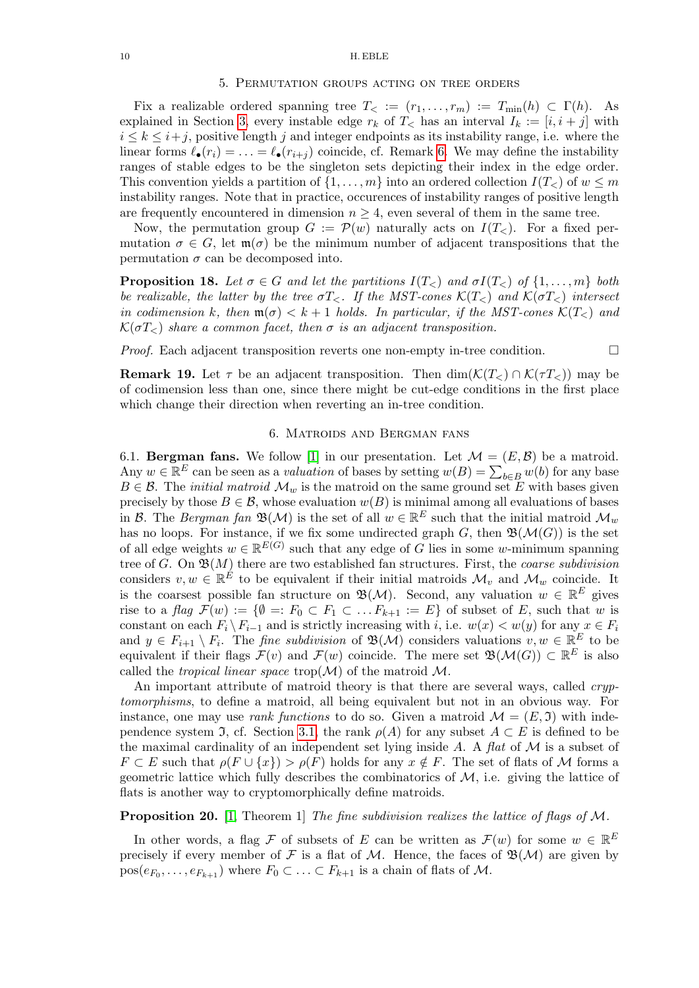### <span id="page-9-0"></span>10 H. EBLE

### 5. Permutation groups acting on tree orders

Fix a realizable ordered spanning tree  $T_< := (r_1, \ldots, r_m) := T_{\min}(h) \subset \Gamma(h)$ . As explained in Section [3,](#page-3-0) every instable edge  $r_k$  of  $T_<$  has an interval  $I_k := [i, i + j]$  with  $i \leq k \leq i+j$ , positive length j and integer endpoints as its instability range, i.e. where the linear forms  $\ell_{\bullet}(r_i) = \ldots = \ell_{\bullet}(r_{i+j})$  coincide, cf. Remark [6.](#page-4-3) We may define the instability ranges of stable edges to be the singleton sets depicting their index in the edge order. This convention yields a partition of  $\{1, \ldots, m\}$  into an ordered collection  $I(T_{\leq})$  of  $w \leq m$ instability ranges. Note that in practice, occurences of instability ranges of positive length are frequently encountered in dimension  $n \geq 4$ , even several of them in the same tree.

Now, the permutation group  $G := \mathcal{P}(w)$  naturally acts on  $I(T_<)$ . For a fixed permutation  $\sigma \in G$ , let  $\mathfrak{m}(\sigma)$  be the minimum number of adjacent transpositions that the permutation  $\sigma$  can be decomposed into.

**Proposition 18.** Let  $\sigma \in G$  and let the partitions  $I(T_{\leq})$  and  $\sigma I(T_{\leq})$  of  $\{1, \ldots, m\}$  both be realizable, the latter by the tree  $\sigma T_{\leq}$ . If the MST-cones  $\mathcal{K}(T_{\leq})$  and  $\mathcal{K}(\sigma T_{\leq})$  intersect in codimension k, then  $\mathfrak{m}(\sigma) < k+1$  holds. In particular, if the MST-cones  $\mathcal{K}(T_{<})$  and  $\mathcal{K}(\sigma T_{\leq})$  share a common facet, then  $\sigma$  is an adjacent transposition.

*Proof.* Each adjacent transposition reverts one non-empty in-tree condition.  $\Box$ 

**Remark 19.** Let  $\tau$  be an adjacent transposition. Then  $\dim(\mathcal{K}(T_<)\cap\mathcal{K}(\tau T_<))$  may be of codimension less than one, since there might be cut-edge conditions in the first place which change their direction when reverting an in-tree condition.

## 6. Matroids and Bergman fans

<span id="page-9-1"></span>6.1. **Bergman fans.** We follow [\[1\]](#page-12-6) in our presentation. Let  $\mathcal{M} = (E, \mathcal{B})$  be a matroid. Any  $w \in \mathbb{R}^E$  can be seen as a *valuation* of bases by setting  $w(B) = \sum_{b \in B} w(b)$  for any base  $B \in \mathcal{B}$ . The *initial matroid*  $\mathcal{M}_w$  is the matroid on the same ground set E with bases given precisely by those  $B \in \mathcal{B}$ , whose evaluation  $w(B)$  is minimal among all evaluations of bases in B. The Bergman fan  $\mathfrak{B}(\mathcal{M})$  is the set of all  $w \in \mathbb{R}^E$  such that the initial matroid  $\mathcal{M}_w$ has no loops. For instance, if we fix some undirected graph G, then  $\mathfrak{B}(\mathcal{M}(G))$  is the set of all edge weights  $w \in \mathbb{R}^{E(G)}$  such that any edge of G lies in some w-minimum spanning tree of G. On  $\mathfrak{B}(M)$  there are two established fan structures. First, the *coarse subdivision* considers  $v, w \in \mathbb{R}^{\hat{E}}$  to be equivalent if their initial matroids  $\mathcal{M}_v$  and  $\mathcal{M}_w$  coincide. It is the coarsest possible fan structure on  $\mathfrak{B}(\mathcal{M})$ . Second, any valuation  $w \in \mathbb{R}^E$  gives rise to a flag  $\mathcal{F}(w) := \{ \emptyset =: F_0 \subset F_1 \subset \ldots F_{k+1} := E \}$  of subset of E, such that w is constant on each  $F_i \backslash F_{i-1}$  and is strictly increasing with i, i.e.  $w(x) < w(y)$  for any  $x \in F_i$ and  $y \in F_{i+1} \setminus F_i$ . The *fine subdivision* of  $\mathfrak{B}(\mathcal{M})$  considers valuations  $v, w \in \mathbb{R}^E$  to be equivalent if their flags  $\mathcal{F}(v)$  and  $\mathcal{F}(w)$  coincide. The mere set  $\mathfrak{B}(\mathcal{M}(G)) \subset \mathbb{R}^E$  is also called the *tropical linear space* trop( $\mathcal{M}$ ) of the matroid  $\mathcal{M}$ .

An important attribute of matroid theory is that there are several ways, called *cryp*tomorphisms, to define a matroid, all being equivalent but not in an obvious way. For instance, one may use *rank functions* to do so. Given a matroid  $\mathcal{M} = (E, \mathfrak{I})$  with inde-pendence system J, cf. Section [3.1,](#page-3-3) the rank  $\rho(A)$  for any subset  $A \subset E$  is defined to be the maximal cardinality of an independent set lying inside  $A$ . A flat of  $M$  is a subset of  $F \subset E$  such that  $\rho(F \cup \{x\}) > \rho(F)$  holds for any  $x \notin F$ . The set of flats of M forms a geometric lattice which fully describes the combinatorics of  $M$ , i.e. giving the lattice of flats is another way to cryptomorphically define matroids.

**Proposition 20.** [\[1,](#page-12-6) Theorem 1] The fine subdivision realizes the lattice of flags of  $M$ .

In other words, a flag F of subsets of E can be written as  $\mathcal{F}(w)$  for some  $w \in \mathbb{R}^E$ precisely if every member of F is a flat of M. Hence, the faces of  $\mathfrak{B}(\mathcal{M})$  are given by  $pos(e_{F_0}, \ldots, e_{F_{k+1}})$  where  $F_0 \subset \ldots \subset F_{k+1}$  is a chain of flats of M.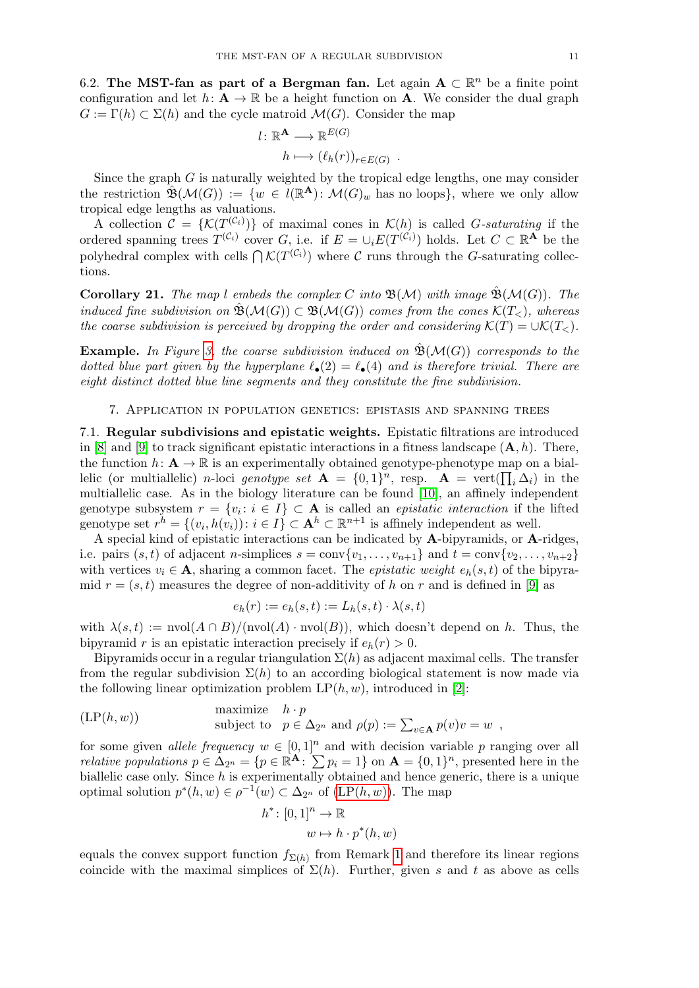6.2. The MST-fan as part of a Bergman fan. Let again  $A \subset \mathbb{R}^n$  be a finite point configuration and let  $h: \mathbf{A} \to \mathbb{R}$  be a height function on **A**. We consider the dual graph  $G := \Gamma(h) \subset \Sigma(h)$  and the cycle matroid  $\mathcal{M}(G)$ . Consider the map

$$
l: \mathbb{R}^{\mathbf{A}} \longrightarrow \mathbb{R}^{E(G)}
$$

$$
h \longmapsto (\ell_h(r))_{r \in E(G)}
$$

.

Since the graph  $G$  is naturally weighted by the tropical edge lengths, one may consider the restriction  $\hat{\mathfrak{B}}(\mathcal{M}(G)) := \{ w \in l(\mathbb{R}^{\mathbf{A}}) : \mathcal{M}(G)_w \text{ has no loops} \}, \text{ where we only allow }$ tropical edge lengths as valuations.

A collection  $\mathcal{C} = \{ \mathcal{K}(T^{(\mathcal{C}_i)}) \}$  of maximal cones in  $\mathcal{K}(h)$  is called G-saturating if the ordered spanning trees  $T^{(\mathcal{C}_i)}$  cover G, i.e. if  $E = \cup_i E(T^{(\mathcal{C}_i)})$  holds. Let  $C \subset \mathbb{R}^{\mathbf{A}}$  be the polyhedral complex with cells  $\bigcap \mathcal{K}(T^{(\mathcal{C}_i)})$  where C runs through the G-saturating collections.

**Corollary 21.** The map l embeds the complex C into  $\mathfrak{B}(\mathcal{M})$  with image  $\mathfrak{B}(\mathcal{M}(G))$ . The induced fine subdivision on  $\mathfrak{B}(\mathcal{M}(G)) \subset \mathfrak{B}(\mathcal{M}(G))$  comes from the cones  $\mathcal{K}(T_{<})$ , whereas the coarse subdivision is perceived by dropping the order and considering  $\mathcal{K}(T) = \cup \mathcal{K}(T_<)$ .

**Example.** In Figure [3,](#page-8-0) the coarse subdivision induced on  $\mathfrak{B}(\mathcal{M}(G))$  corresponds to the dotted blue part given by the hyperplane  $\ell_{\bullet}(2) = \ell_{\bullet}(4)$  and is therefore trivial. There are eight distinct dotted blue line segments and they constitute the fine subdivision.

## 7. Application in population genetics: epistasis and spanning trees

<span id="page-10-0"></span>7.1. Regular subdivisions and epistatic weights. Epistatic filtrations are introduced in [\[8\]](#page-13-6) and [\[9\]](#page-13-7) to track significant epistatic interactions in a fitness landscape  $(A, h)$ . There, the function  $h: \mathbf{A} \to \mathbb{R}$  is an experimentally obtained genotype-phenotype map on a biallelic (or multiallelic) *n*-loci genotype set  $\mathbf{A} = \{0,1\}^n$ , resp.  $\mathbf{A} = \text{vert}(\prod_i \Delta_i)$  in the multiallelic case. As in the biology literature can be found [\[10\]](#page-13-18), an affinely independent genotype subsystem  $r = \{v_i : i \in I\} \subset \mathbf{A}$  is called an *epistatic interaction* if the lifted genotype set  $r^h = \{(v_i, h(v_i)) : i \in I\} \subset \mathbf{A}^h \subset \mathbb{R}^{n+1}$  is affinely independent as well.

A special kind of epistatic interactions can be indicated by A-bipyramids, or A-ridges, i.e. pairs  $(s, t)$  of adjacent *n*-simplices  $s = \text{conv}\{v_1, \ldots, v_{n+1}\}\$  and  $t = \text{conv}\{v_2, \ldots, v_{n+2}\}\$ with vertices  $v_i \in \mathbf{A}$ , sharing a common facet. The *epistatic weight*  $e_h(s,t)$  of the bipyramid  $r = (s, t)$  measures the degree of non-additivity of h on r and is defined in [\[9\]](#page-13-7) as

$$
e_h(r) := e_h(s, t) := L_h(s, t) \cdot \lambda(s, t)
$$

with  $\lambda(s, t) := \text{nvol}(A \cap B) / (\text{nvol}(A) \cdot \text{nvol}(B))$ , which doesn't depend on h. Thus, the bipyramid r is an epistatic interaction precisely if  $e_h(r) > 0$ .

Bipyramids occur in a regular triangulation  $\Sigma(h)$  as adjacent maximal cells. The transfer from the regular subdivision  $\Sigma(h)$  to an according biological statement is now made via the following linear optimization problem  $LP(h, w)$ , introduced in [\[2\]](#page-12-0):

<span id="page-10-1"></span>
$$
(LP(h, w)) \quad \text{maximize} \quad h \cdot p \\ \text{subject to} \quad p \in \Delta_{2^n} \text{ and } \rho(p) := \sum_{v \in \mathbf{A}} p(v)v = w \enspace,
$$

for some given *allele frequency*  $w \in [0, 1]^n$  and with decision variable p ranging over all *relative populations*  $p \in \Delta_{2^n} = \{p \in \mathbb{R}^{\mathbf{A}} : \sum p_i = 1\}$  on  $\mathbf{A} = \{0, 1\}^n$ , presented here in the biallelic case only. Since h is experimentally obtained and hence generic, there is a unique optimal solution  $p^*(h, w) \in \rho^{-1}(w) \subset \Delta_{2^n}$  of  $(\text{LP}(h, w))$ . The map

$$
h^* \colon [0,1]^n \to \mathbb{R}
$$

$$
w \mapsto h \cdot p^*(h, w)
$$

equals the convex support function  $f_{\Sigma(h)}$  from Remark [1](#page-2-2) and therefore its linear regions coincide with the maximal simplices of  $\Sigma(h)$ . Further, given s and t as above as cells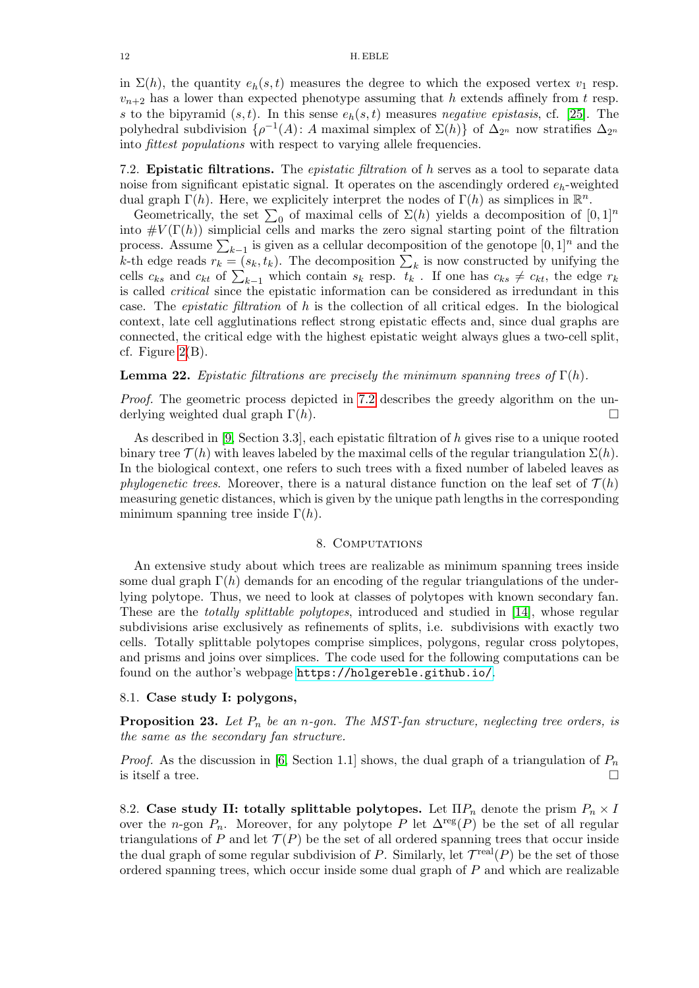in  $\Sigma(h)$ , the quantity  $e_h(s,t)$  measures the degree to which the exposed vertex  $v_1$  resp.  $v_{n+2}$  has a lower than expected phenotype assuming that h extends affinely from t resp. s to the bipyramid  $(s, t)$ . In this sense  $e_h(s, t)$  measures negative epistasis, cf. [\[25\]](#page-13-19). The polyhedral subdivision  $\{\rho^{-1}(A): A$  maximal simplex of  $\Sigma(h)\}$  of  $\Delta_{2^n}$  now stratifies  $\Delta_{2^n}$ into fittest populations with respect to varying allele frequencies.

<span id="page-11-1"></span>7.2. Epistatic filtrations. The epistatic filtration of h serves as a tool to separate data noise from significant epistatic signal. It operates on the ascendingly ordered  $e_h$ -weighted dual graph  $\Gamma(h)$ . Here, we explicitely interpret the nodes of  $\Gamma(h)$  as simplices in  $\mathbb{R}^n$ .

Geometrically, the set  $\sum_0$  of maximal cells of  $\Sigma(h)$  yields a decomposition of  $[0,1]^n$ into  $\#V(\Gamma(h))$  simplicial cells and marks the zero signal starting point of the filtration process. Assume  $\sum_{k-1}$  is given as a cellular decomposition of the genotope  $[0, 1]^n$  and the k-th edge reads  $r_k = (s_k, t_k)$ . The decomposition  $\sum_k$  is now constructed by unifying the cells  $c_{ks}$  and  $c_{kt}$  of  $\sum_{k-1}$  which contain  $s_k$  resp.  $t_k$ . If one has  $c_{ks} \neq c_{kt}$ , the edge  $r_k$ is called critical since the epistatic information can be considered as irredundant in this case. The *epistatic filtration* of  $h$  is the collection of all critical edges. In the biological context, late cell agglutinations reflect strong epistatic effects and, since dual graphs are connected, the critical edge with the highest epistatic weight always glues a two-cell split, cf. Figure  $2(B)$ .

**Lemma 22.** Epistatic filtrations are precisely the minimum spanning trees of  $\Gamma(h)$ .

Proof. The geometric process depicted in [7.2](#page-11-1) describes the greedy algorithm on the underlying weighted dual graph  $\Gamma(h)$ .

As described in [\[9,](#page-13-7) Section 3.3], each epistatic filtration of h gives rise to a unique rooted binary tree  $\mathcal{T}(h)$  with leaves labeled by the maximal cells of the regular triangulation  $\Sigma(h)$ . In the biological context, one refers to such trees with a fixed number of labeled leaves as *phylogenetic trees.* Moreover, there is a natural distance function on the leaf set of  $\mathcal{T}(h)$ measuring genetic distances, which is given by the unique path lengths in the corresponding minimum spanning tree inside  $\Gamma(h)$ .

#### 8. COMPUTATIONS

<span id="page-11-0"></span>An extensive study about which trees are realizable as minimum spanning trees inside some dual graph  $\Gamma(h)$  demands for an encoding of the regular triangulations of the underlying polytope. Thus, we need to look at classes of polytopes with known secondary fan. These are the *totally splittable polytopes*, introduced and studied in [\[14\]](#page-13-20), whose regular subdivisions arise exclusively as refinements of splits, i.e. subdivisions with exactly two cells. Totally splittable polytopes comprise simplices, polygons, regular cross polytopes, and prisms and joins over simplices. The code used for the following computations can be found on the author's webpage <https://holgereble.github.io/>.

# 8.1. Case study I: polygons,

**Proposition 23.** Let  $P_n$  be an n-gon. The MST-fan structure, neglecting tree orders, is the same as the secondary fan structure.

*Proof.* As the discussion in [\[6,](#page-12-1) Section 1.1] shows, the dual graph of a triangulation of  $P_n$ is itself a tree.

8.2. Case study II: totally splittable polytopes. Let  $\Pi P_n$  denote the prism  $P_n \times I$ over the n-gon  $P_n$ . Moreover, for any polytope P let  $\Delta^{\text{reg}}(P)$  be the set of all regular triangulations of P and let  $\mathcal{T}(P)$  be the set of all ordered spanning trees that occur inside the dual graph of some regular subdivision of P. Similarly, let  $\mathcal{T}^{\text{real}}(P)$  be the set of those ordered spanning trees, which occur inside some dual graph of  $P$  and which are realizable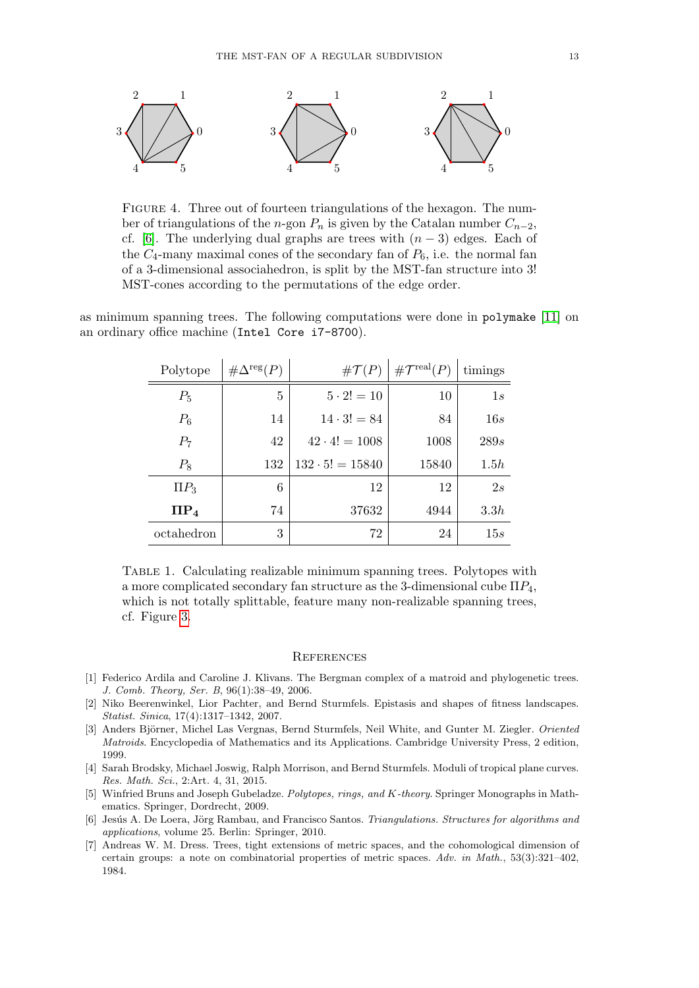

Figure 4. Three out of fourteen triangulations of the hexagon. The number of triangulations of the n-gon  $P_n$  is given by the Catalan number  $C_{n-2}$ , cf. [\[6\]](#page-12-1). The underlying dual graphs are trees with  $(n-3)$  edges. Each of the  $C_4$ -many maximal cones of the secondary fan of  $P_6$ , i.e. the normal fan of a 3-dimensional associahedron, is split by the MST-fan structure into 3! MST-cones according to the permutations of the edge order.

as minimum spanning trees. The following computations were done in polymake [\[11\]](#page-13-17) on an ordinary office machine (Intel Core i7-8700).

| Polytope   | $\#\Delta^{\text{reg}}(P)$ | $\# \mathcal{T}(P)$    | $\#\mathcal{T}^{\text{real}}(P)$ | timings |
|------------|----------------------------|------------------------|----------------------------------|---------|
| $P_5$      | 5                          | $5 \cdot 2! = 10$      | 10                               | 1s      |
| $P_6$      | 14                         | $14 \cdot 3! = 84$     | 84                               | 16s     |
| $P_7$      | 42                         | $42 \cdot 4! = 1008$   | 1008                             | 289s    |
| $P_8$      | 132                        | $132 \cdot 5! = 15840$ | 15840                            | 1.5h    |
| $\Pi P_3$  | 6                          | 12                     | 12                               | 2s      |
| $\Pi P_4$  | 74                         | 37632                  | 4944                             | 3.3h    |
| octahedron | 3                          | 72                     | 24                               | 15s     |

Table 1. Calculating realizable minimum spanning trees. Polytopes with a more complicated secondary fan structure as the 3-dimensional cube  $\Pi P_4$ , which is not totally splittable, feature many non-realizable spanning trees, cf. Figure [3.](#page-8-0)

#### **REFERENCES**

- <span id="page-12-6"></span>[1] Federico Ardila and Caroline J. Klivans. The Bergman complex of a matroid and phylogenetic trees. J. Comb. Theory, Ser. B, 96(1):38–49, 2006.
- <span id="page-12-0"></span>[2] Niko Beerenwinkel, Lior Pachter, and Bernd Sturmfels. Epistasis and shapes of fitness landscapes. Statist. Sinica, 17(4):1317–1342, 2007.
- <span id="page-12-5"></span>[3] Anders Björner, Michel Las Vergnas, Bernd Sturmfels, Neil White, and Gunter M. Ziegler. Oriented Matroids. Encyclopedia of Mathematics and its Applications. Cambridge University Press, 2 edition, 1999.
- <span id="page-12-2"></span>[4] Sarah Brodsky, Michael Joswig, Ralph Morrison, and Bernd Sturmfels. Moduli of tropical plane curves. Res. Math. Sci., 2:Art. 4, 31, 2015.
- <span id="page-12-3"></span>[5] Winfried Bruns and Joseph Gubeladze. Polytopes, rings, and K-theory. Springer Monographs in Mathematics. Springer, Dordrecht, 2009.
- <span id="page-12-1"></span>[6] Jesús A. De Loera, Jörg Rambau, and Francisco Santos. Triangulations. Structures for algorithms and applications, volume 25. Berlin: Springer, 2010.
- <span id="page-12-4"></span>[7] Andreas W. M. Dress. Trees, tight extensions of metric spaces, and the cohomological dimension of certain groups: a note on combinatorial properties of metric spaces. Adv. in Math., 53(3):321–402, 1984.